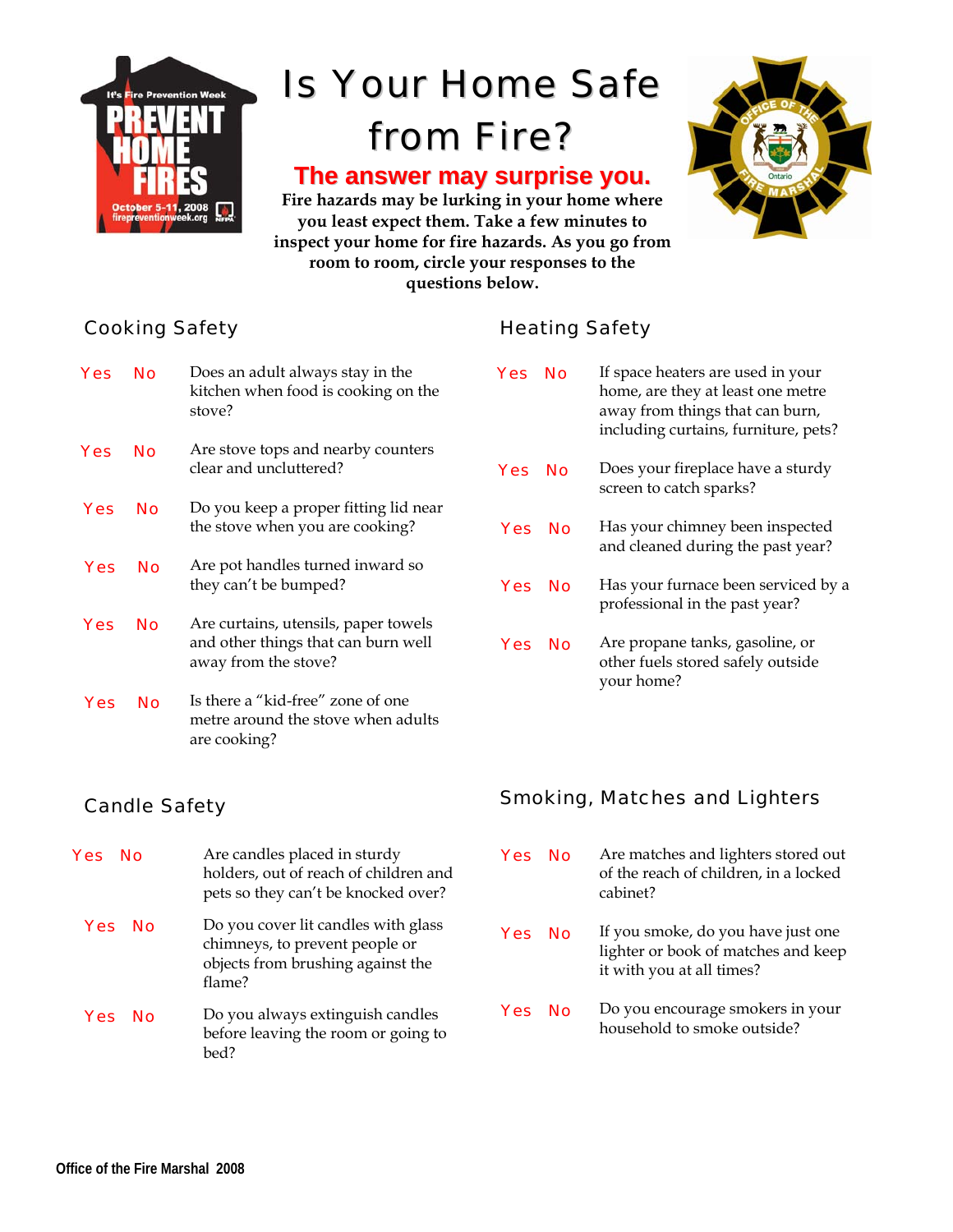

# Is Your Home Safe from Fire?

# **The answer may surprise you.**

**Fire hazards may be lurking in your home where you least expect them. Take a few minutes to inspect your home for fire hazards. As you go from room to room, circle your responses to the questions below.**



#### Cooking Safety

| Yes | Nο | Does an adult always stay in the<br>kitchen when food is cooking on the<br>stove?                   |
|-----|----|-----------------------------------------------------------------------------------------------------|
| Yes | Nο | Are stove tops and nearby counters<br>clear and uncluttered?                                        |
| Yes | Nο | Do you keep a proper fitting lid near<br>the stove when you are cooking?                            |
| Yes | Nο | Are pot handles turned inward so<br>they can't be bumped?                                           |
| Yes | Nο | Are curtains, utensils, paper towels<br>and other things that can burn well<br>away from the stove? |
| Yes | Nο | Is there a "kid-free" zone of one<br>metre around the stove when adults<br>are cooking?             |

#### Candle Safety

| <b>Yes</b> No    | Are candles placed in sturdy<br>holders, out of reach of children and<br>pets so they can't be knocked over?         |
|------------------|----------------------------------------------------------------------------------------------------------------------|
| Yes No           | Do you cover lit candles with glass<br>chimneys, to prevent people or<br>objects from brushing against the<br>flame? |
| <b>Yes</b><br>Nο | Do you always extinguish candles<br>before leaving the room or going to<br>bed?                                      |

### Heating Safety

| Yes        | Nο        | If space heaters are used in your<br>home, are they at least one metre<br>away from things that can burn,<br>including curtains, furniture, pets? |
|------------|-----------|---------------------------------------------------------------------------------------------------------------------------------------------------|
| <b>Yes</b> | Nο        | Does your fireplace have a sturdy<br>screen to catch sparks?                                                                                      |
| <b>Yes</b> | <b>No</b> | Has your chimney been inspected<br>and cleaned during the past year?                                                                              |
| <b>Yes</b> | No        | Has your furnace been serviced by a<br>professional in the past year?                                                                             |
| <b>Yes</b> | Nο        | Are propane tanks, gasoline, or<br>other fuels stored safely outside<br>your home?                                                                |

#### Smoking, Matches and Lighters

| <b>Yes</b> | - No | Are matches and lighters stored out<br>of the reach of children, in a locked<br>cabinet?               |
|------------|------|--------------------------------------------------------------------------------------------------------|
| Yes No     |      | If you smoke, do you have just one<br>lighter or book of matches and keep<br>it with you at all times? |
| <b>Yes</b> | . No | Do you encourage smokers in your<br>household to smoke outside?                                        |